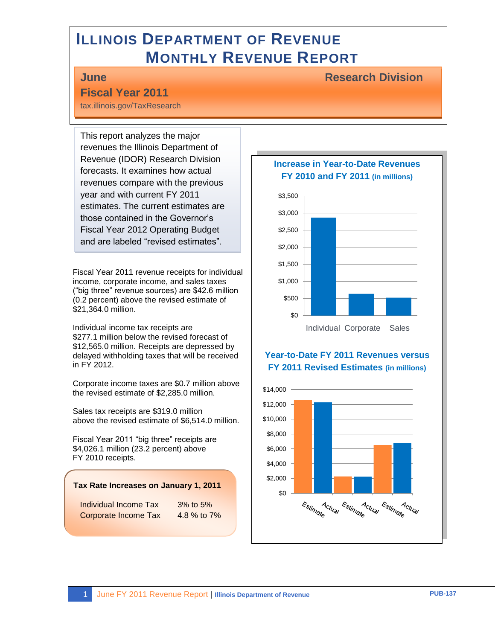# **ILLINOIS DEPARTMENT OF REVENUE MONTHLY REVENUE REPORT**

### **June Research Division**

### **Fiscal Year 2011**  tax.illinois.gov/TaxResearch

This report analyzes the major revenues the Illinois Department of Revenue (IDOR) Research Division forecasts. It examines how actual revenues compare with the previous year and with current FY 2011 estimates. The current estimates are those contained in the Governor's Fiscal Year 2012 Operating Budget and are labeled "revised estimates".

Fiscal Year 2011 revenue receipts for individual income, corporate income, and sales taxes ("big three" revenue sources) are \$42.6 million (0.2 percent) above the revised estimate of \$21,364.0 million.

Individual income tax receipts are \$277.1 million below the revised forecast of \$12,565.0 million. Receipts are depressed by delayed withholding taxes that will be received in FY 2012.

Corporate income taxes are \$0.7 million above the revised estimate of \$2,285.0 million.

Sales tax receipts are \$319.0 million above the revised estimate of \$6,514.0 million.

Fiscal Year 2011 "big three" receipts are \$4,026.1 million (23.2 percent) above FY 2010 receipts.

#### **Tax Rate Increases on January 1, 2011**

Individual Income Tax 3% to 5% Corporate Income Tax 4.8 % to 7%

### **Increase in Year-to-Date Revenues FY 2010 and FY 2011 (in millions)**



### **Year-to-Date FY 2011 Revenues versus FY 2011 Revised Estimates (in millions)**

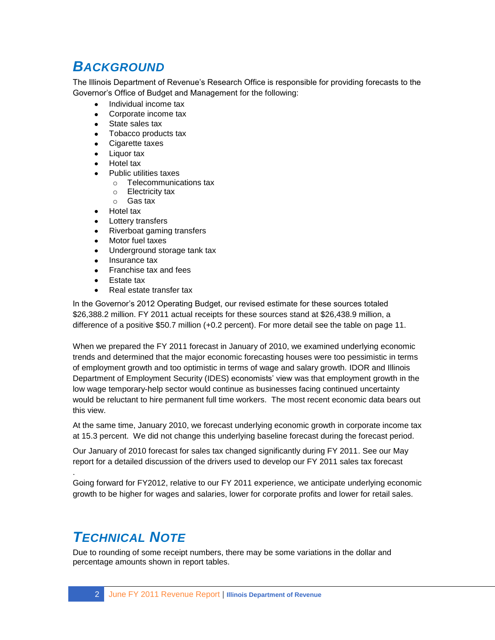## *BACKGROUND*

The Illinois Department of Revenue's Research Office is responsible for providing forecasts to the Governor's Office of Budget and Management for the following:

- Individual income tax  $\bullet$
- Corporate income tax
- State sales tax
- Tobacco products tax
- Cigarette taxes
- Liquor tax
- Hotel tax
- Public utilities taxes
	- o Telecommunications tax
	- o Electricity tax
	- o Gas tax
- Hotel tax
- Lottery transfers
- Riverboat gaming transfers
- Motor fuel taxes
- Underground storage tank tax
- Insurance tax
- Franchise tax and fees
- Estate tax
- Real estate transfer tax

In the Governor's 2012 Operating Budget, our revised estimate for these sources totaled \$26,388.2 million. FY 2011 actual receipts for these sources stand at \$26,438.9 million, a difference of a positive \$50.7 million (+0.2 percent). For more detail see the table on page 11.

When we prepared the FY 2011 forecast in January of 2010, we examined underlying economic trends and determined that the major economic forecasting houses were too pessimistic in terms of employment growth and too optimistic in terms of wage and salary growth. IDOR and Illinois Department of Employment Security (IDES) economists' view was that employment growth in the low wage temporary-help sector would continue as businesses facing continued uncertainty would be reluctant to hire permanent full time workers. The most recent economic data bears out this view.

At the same time, January 2010, we forecast underlying economic growth in corporate income tax at 15.3 percent. We did not change this underlying baseline forecast during the forecast period.

Our January of 2010 forecast for sales tax changed significantly during FY 2011. See our May report for a detailed discussion of the drivers used to develop our FY 2011 sales tax forecast

Going forward for FY2012, relative to our FY 2011 experience, we anticipate underlying economic growth to be higher for wages and salaries, lower for corporate profits and lower for retail sales.

# *TECHNICAL NOTE*

.

Due to rounding of some receipt numbers, there may be some variations in the dollar and percentage amounts shown in report tables.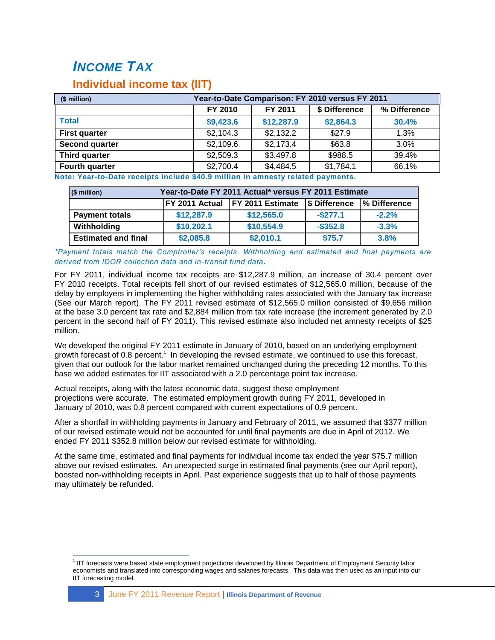# *INCOME TAX*

### **Individual income tax (IIT)**

| (\$ million)          | Year-to-Date Comparison: FY 2010 versus FY 2011     |            |           |       |  |  |  |
|-----------------------|-----------------------------------------------------|------------|-----------|-------|--|--|--|
|                       | FY 2010<br>\$ Difference<br>% Difference<br>FY 2011 |            |           |       |  |  |  |
| <b>Total</b>          | \$9,423.6                                           | \$12,287.9 | \$2,864.3 | 30.4% |  |  |  |
| <b>First quarter</b>  | \$2,104.3                                           | \$2,132.2  | \$27.9    | 1.3%  |  |  |  |
| <b>Second quarter</b> | \$2,109.6                                           | \$2,173.4  | \$63.8    | 3.0%  |  |  |  |
| Third quarter         | \$2,509.3                                           | \$3,497.8  | \$988.5   | 39.4% |  |  |  |
| Fourth quarter        | \$2,700.4                                           | \$4,484.5  | \$1,784.1 | 66.1% |  |  |  |

**Note: Year-to-Date receipts include \$40.9 million in amnesty related payments.**

| (\$ million)               |            | Year-to-Date FY 2011 Actual* versus FY 2011 Estimate              |             |         |  |  |  |
|----------------------------|------------|-------------------------------------------------------------------|-------------|---------|--|--|--|
|                            |            | FY 2011 Actual   FY 2011 Estimate<br>S Difference<br>% Difference |             |         |  |  |  |
| <b>Payment totals</b>      | \$12,287.9 | \$12,565.0                                                        | $-$ \$277.1 | $-2.2%$ |  |  |  |
| Withholding                | \$10,202.1 | \$10,554.9                                                        | $-$ \$352.8 | $-3.3%$ |  |  |  |
| <b>Estimated and final</b> | \$2,085.8  | \$2,010.1                                                         | \$75.7      | 3.8%    |  |  |  |

*\*Payment totals match the Comptroller's receipts. Withholding and estimated and final payments are derived from IDOR collection data and in-transit fund data.*

For FY 2011, individual income tax receipts are \$12,287.9 million, an increase of 30.4 percent over FY 2010 receipts. Total receipts fell short of our revised estimates of \$12,565.0 million, because of the delay by employers in implementing the higher withholding rates associated with the January tax increase (See our March report). The FY 2011 revised estimate of \$12,565.0 million consisted of \$9,656 million at the base 3.0 percent tax rate and \$2,884 million from tax rate increase (the increment generated by 2.0 percent in the second half of FY 2011). This revised estimate also included net amnesty receipts of \$25 million.

We developed the original FY 2011 estimate in January of 2010, based on an underlying employment growth forecast of 0.8 percent.<sup>1</sup> In developing the revised estimate, we continued to use this forecast, given that our outlook for the labor market remained unchanged during the preceding 12 months. To this base we added estimates for IIT associated with a 2.0 percentage point tax increase.

Actual receipts, along with the latest economic data, suggest these employment projections were accurate. The estimated employment growth during FY 2011, developed in January of 2010, was 0.8 percent compared with current expectations of 0.9 percent.

After a shortfall in withholding payments in January and February of 2011, we assumed that \$377 million of our revised estimate would not be accounted for until final payments are due in April of 2012. We ended FY 2011 \$352.8 million below our revised estimate for withholding.

At the same time, estimated and final payments for individual income tax ended the year \$75.7 million above our revised estimates. An unexpected surge in estimated final payments (see our April report), boosted non-withholding receipts in April. Past experience suggests that up to half of those payments may ultimately be refunded.

 1 IIT forecasts were based state employment projections developed by Illinois Department of Employment Security labor economists and translated into corresponding wages and salaries forecasts. This data was then used as an input into our IIT forecasting model.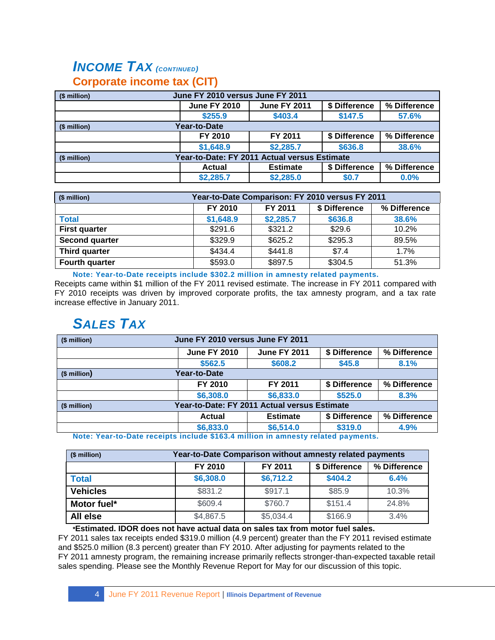## *INCOME TAX (CONTINUED)* **Corporate income tax (CIT)**

| June FY 2010 versus June FY 2011<br>(\$ million)             |                     |                     |               |              |  |
|--------------------------------------------------------------|---------------------|---------------------|---------------|--------------|--|
|                                                              | <b>June FY 2010</b> | <b>June FY 2011</b> | \$ Difference | % Difference |  |
|                                                              | \$255.9             | \$403.4             | \$147.5       | 57.6%        |  |
| Year-to-Date<br>(\$ million)                                 |                     |                     |               |              |  |
|                                                              | FY 2010             | FY 2011             | \$ Difference | % Difference |  |
|                                                              | \$1,648.9           | \$2,285.7           | \$636.8       | 38.6%        |  |
| Year-to-Date: FY 2011 Actual versus Estimate<br>(\$ million) |                     |                     |               |              |  |
|                                                              | <b>Actual</b>       | <b>Estimate</b>     | \$ Difference | % Difference |  |
|                                                              | \$2,285.7           | \$2,285.0           | \$0.7         | 0.0%         |  |

| (\$ million)          | Year-to-Date Comparison: FY 2010 versus FY 2011     |           |         |       |  |  |
|-----------------------|-----------------------------------------------------|-----------|---------|-------|--|--|
|                       | FY 2010<br>FY 2011<br>\$ Difference<br>% Difference |           |         |       |  |  |
| <b>Total</b>          | \$1,648.9                                           | \$2,285.7 | \$636.8 | 38.6% |  |  |
| <b>First quarter</b>  | \$291.6                                             | \$321.2   | \$29.6  | 10.2% |  |  |
| <b>Second quarter</b> | \$329.9                                             | \$625.2   | \$295.3 | 89.5% |  |  |
| <b>Third quarter</b>  | \$434.4                                             | \$441.8   | \$7.4   | 1.7%  |  |  |
| Fourth quarter        | \$593.0                                             | \$897.5   | \$304.5 | 51.3% |  |  |

**Note: Year-to-Date receipts include \$302.2 million in amnesty related payments.** Receipts came within \$1 million of the FY 2011 revised estimate. The increase in FY 2011 compared with FY 2010 receipts was driven by improved corporate profits, the tax amnesty program, and a tax rate increase effective in January 2011.

## *SALES TAX*

| June FY 2010 versus June FY 2011<br>(\$ million) |                                                                                 |                     |               |              |  |
|--------------------------------------------------|---------------------------------------------------------------------------------|---------------------|---------------|--------------|--|
|                                                  | <b>June FY 2010</b>                                                             | <b>June FY 2011</b> | \$ Difference | % Difference |  |
|                                                  | \$562.5                                                                         | \$608.2             | \$45.8        | 8.1%         |  |
| Year-to-Date<br>$($$ million $)$                 |                                                                                 |                     |               |              |  |
|                                                  | FY 2010                                                                         | FY 2011             | \$ Difference | % Difference |  |
|                                                  | \$6,308.0                                                                       | \$6,833.0           | \$525.0       | 8.3%         |  |
| (\$ million)                                     | Year-to-Date: FY 2011 Actual versus Estimate                                    |                     |               |              |  |
|                                                  | Actual                                                                          | <b>Estimate</b>     | \$ Difference | % Difference |  |
|                                                  | \$6,833.0                                                                       | \$6,514.0           | \$319.0       | 4.9%         |  |
|                                                  | Note: Voar-to-Date receipts include \$462.4 million in amnosty related nayments |                     |               |              |  |

**Note: Year-to-Date receipts include \$163.4 million in amnesty related payments.**

| (\$ million)    | Year-to-Date Comparison without amnesty related payments |           |         |       |  |  |
|-----------------|----------------------------------------------------------|-----------|---------|-------|--|--|
|                 | % Difference<br>FY 2010<br>FY 2011<br>\$ Difference      |           |         |       |  |  |
| <b>Total</b>    | \$6,308.0                                                | \$6,712.2 | \$404.2 | 6.4%  |  |  |
| <b>Vehicles</b> | \$831.2                                                  | \$917.1   | \$85.9  | 10.3% |  |  |
| Motor fuel*     | \$609.4                                                  | \$760.7   | \$151.4 | 24.8% |  |  |
| All else        | \$4,867.5                                                | \$5,034.4 | \$166.9 | 3.4%  |  |  |

#### **\*Estimated. IDOR does not have actual data on sales tax from motor fuel sales.**

FY 2011 sales tax receipts ended \$319.0 million (4.9 percent) greater than the FY 2011 revised estimate and \$525.0 million (8.3 percent) greater than FY 2010. After adjusting for payments related to the FY 2011 amnesty program, the remaining increase primarily reflects stronger-than-expected taxable retail sales spending. Please see the Monthly Revenue Report for May for our discussion of this topic.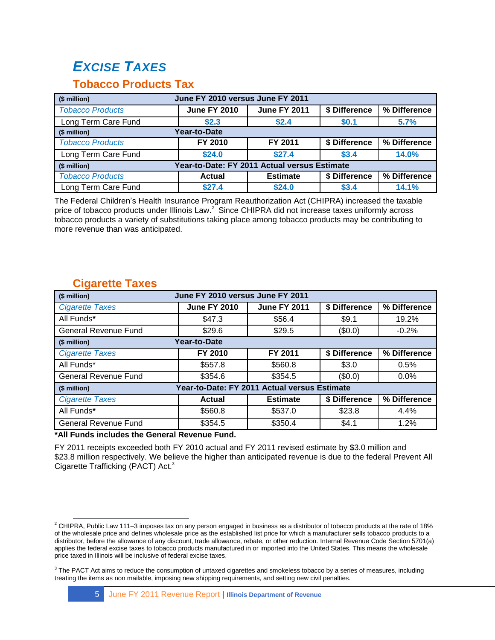# *EXCISE TAXES*

### **Tobacco Products Tax**

| June FY 2010 versus June FY 2011<br>(\$ million)             |                     |                     |               |              |
|--------------------------------------------------------------|---------------------|---------------------|---------------|--------------|
| <b>Tobacco Products</b>                                      | <b>June FY 2010</b> | <b>June FY 2011</b> | \$ Difference | % Difference |
| Long Term Care Fund                                          | \$2.3               | \$2.4               | \$0.1         | 5.7%         |
| Year-to-Date<br>(\$ million)                                 |                     |                     |               |              |
| <b>Tobacco Products</b>                                      | FY 2010             | FY 2011             | \$ Difference | % Difference |
| Long Term Care Fund                                          | \$24.0              | \$27.4              | \$3.4         | 14.0%        |
| Year-to-Date: FY 2011 Actual versus Estimate<br>(\$ million) |                     |                     |               |              |
| <b>Tobacco Products</b>                                      | <b>Actual</b>       | <b>Estimate</b>     | \$ Difference | % Difference |
| Long Term Care Fund                                          | \$27.4              | \$24.0              | \$3.4         | 14.1%        |

The Federal Children's Health Insurance Program Reauthorization Act (CHIPRA) increased the taxable price of tobacco products under Illinois Law. $^2$  Since CHIPRA did not increase taxes uniformly across tobacco products a variety of substitutions taking place among tobacco products may be contributing to more revenue than was anticipated.

| June FY 2010 versus June FY 2011<br>(\$ million) |                     |                                              |               |              |  |
|--------------------------------------------------|---------------------|----------------------------------------------|---------------|--------------|--|
| <b>Cigarette Taxes</b>                           | <b>June FY 2010</b> | <b>June FY 2011</b>                          | \$ Difference | % Difference |  |
| All Funds*                                       | \$47.3              | \$56.4                                       | \$9.1         | 19.2%        |  |
| <b>General Revenue Fund</b>                      | \$29.6              | \$29.5                                       | (\$0.0)       | $-0.2%$      |  |
| (\$ million)                                     | Year-to-Date        |                                              |               |              |  |
| <b>Cigarette Taxes</b>                           | FY 2010             | FY 2011                                      | \$ Difference | % Difference |  |
| All Funds*                                       | \$557.8             | \$560.8                                      | \$3.0         | 0.5%         |  |
| <b>General Revenue Fund</b>                      | \$354.6             | \$354.5                                      | (\$0.0)       | $0.0\%$      |  |
| (\$ million)                                     |                     | Year-to-Date: FY 2011 Actual versus Estimate |               |              |  |
| <b>Cigarette Taxes</b>                           | Actual              | <b>Estimate</b>                              | \$ Difference | % Difference |  |
| All Funds*                                       | \$560.8             | \$537.0                                      | \$23.8        | 4.4%         |  |
| General Revenue Fund                             | \$354.5             | \$350.4                                      | \$4.1         | 1.2%         |  |

### **Cigarette Taxes**

**\*All Funds includes the General Revenue Fund.**

FY 2011 receipts exceeded both FY 2010 actual and FY 2011 revised estimate by \$3.0 million and \$23.8 million respectively. We believe the higher than anticipated revenue is due to the federal Prevent All Cigarette Trafficking (PACT) Act.<sup>3</sup>

 $\overline{a}$  $^2$  CHIPRA, Public Law 111–3 imposes tax on any person engaged in business as a distributor of tobacco products at the rate of 18% of the wholesale price and defines wholesale price as the established list price for which a manufacturer sells tobacco products to a distributor, before the allowance of any discount, trade allowance, rebate, or other reduction. Internal Revenue Code Section 5701(a) applies the federal excise taxes to tobacco products manufactured in or imported into the United States. This means the wholesale price taxed in Illinois will be inclusive of federal excise taxes.

 $3$  The PACT Act aims to reduce the consumption of untaxed cigarettes and smokeless tobacco by a series of measures, including treating the items as non mailable, imposing new shipping requirements, and setting new civil penalties.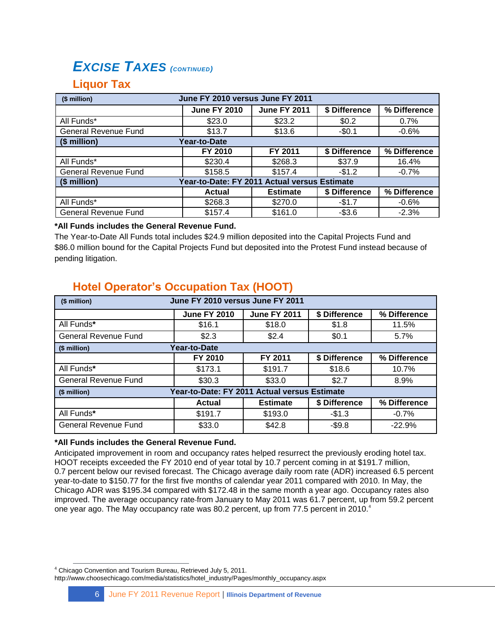## *EXCISE TAXES (CONTINUED)*

### **Liquor Tax**

| June FY 2010 versus June FY 2011<br>(\$ million) |                                              |                     |               |              |  |
|--------------------------------------------------|----------------------------------------------|---------------------|---------------|--------------|--|
|                                                  | <b>June FY 2010</b>                          | <b>June FY 2011</b> | \$ Difference | % Difference |  |
| All Funds*                                       | \$23.0                                       | \$23.2              | \$0.2         | $0.7\%$      |  |
| <b>General Revenue Fund</b>                      | \$13.7                                       | \$13.6              | $-$0.1$       | $-0.6%$      |  |
| (\$ million)                                     | Year-to-Date                                 |                     |               |              |  |
|                                                  | FY 2010                                      | FY 2011             | \$ Difference | % Difference |  |
| All Funds*                                       | \$230.4                                      | \$268.3             | \$37.9        | 16.4%        |  |
| <b>General Revenue Fund</b>                      | \$158.5                                      | \$157.4             | $-$1.2$       | $-0.7\%$     |  |
| (\$ million)                                     | Year-to-Date: FY 2011 Actual versus Estimate |                     |               |              |  |
|                                                  | Actual                                       | <b>Estimate</b>     | \$ Difference | % Difference |  |
| All Funds*                                       | \$268.3                                      | \$270.0             | $-$1.7$       | $-0.6%$      |  |
| General Revenue Fund                             | \$157.4                                      | \$161.0             | $-$3.6$       | $-2.3%$      |  |

#### **\*All Funds includes the General Revenue Fund.**

The Year-to-Date All Funds total includes \$24.9 million deposited into the Capital Projects Fund and \$86.0 million bound for the Capital Projects Fund but deposited into the Protest Fund instead because of pending litigation.

## **Hotel Operator's Occupation Tax (HOOT)**

| June FY 2010 versus June FY 2011<br>(\$ million) |                                              |                     |               |              |  |
|--------------------------------------------------|----------------------------------------------|---------------------|---------------|--------------|--|
|                                                  | <b>June FY 2010</b>                          | <b>June FY 2011</b> | \$ Difference | % Difference |  |
| All Funds*                                       | \$16.1                                       | \$18.0              | \$1.8         | 11.5%        |  |
| <b>General Revenue Fund</b>                      | \$2.3                                        | \$2.4               | \$0.1         | 5.7%         |  |
| (\$ million)                                     | Year-to-Date                                 |                     |               |              |  |
|                                                  | FY 2010                                      | FY 2011             | \$ Difference | % Difference |  |
| All Funds*                                       | \$173.1                                      | \$191.7             | \$18.6        | 10.7%        |  |
| <b>General Revenue Fund</b>                      | \$30.3                                       | \$33.0              | \$2.7         | 8.9%         |  |
| (\$ million)                                     | Year-to-Date: FY 2011 Actual versus Estimate |                     |               |              |  |
|                                                  | <b>Actual</b>                                | <b>Estimate</b>     | \$ Difference | % Difference |  |
| All Funds*                                       | \$191.7                                      | \$193.0             | $-$1.3$       | $-0.7%$      |  |
| General Revenue Fund                             | \$33.0                                       | \$42.8              | $-$9.8$       | $-22.9%$     |  |

#### **\*All Funds includes the General Revenue Fund.**

Anticipated improvement in room and occupancy rates helped resurrect the previously eroding hotel tax. HOOT receipts exceeded the FY 2010 end of year total by 10.7 percent coming in at \$191.7 million, 0.7 percent below our revised forecast. The Chicago average daily room rate (ADR) increased 6.5 percent year-to-date to \$150.77 for the first five months of calendar year 2011 compared with 2010. In May, the Chicago ADR was \$195.34 compared with \$172.48 in the same month a year ago. Occupancy rates also improved. The average occupancy rate from January to May 2011 was 61.7 percent, up from 59.2 percent one year ago. The May occupancy rate was 80.2 percent, up from 77.5 percent in 2010. $4$ 

 $\overline{a}$ <sup>4</sup> Chicago Convention and Tourism Bureau, Retrieved July 5, 2011. http://www.choosechicago.com/media/statistics/hotel\_industry/Pages/monthly\_occupancy.aspx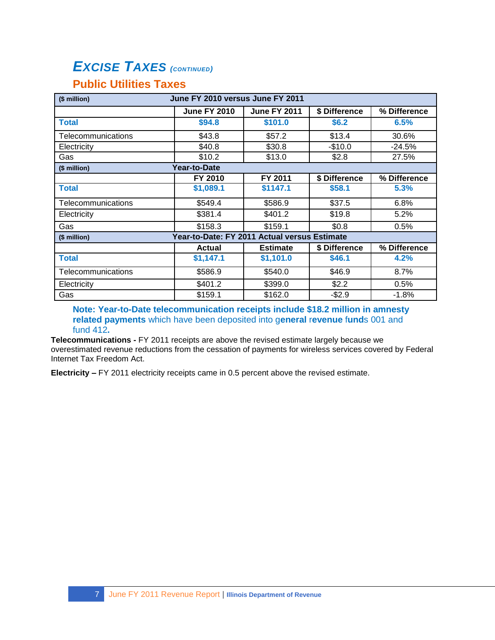# *EXCISE TAXES (CONTINUED)*

## **Public Utilities Taxes**

| June FY 2010 versus June FY 2011<br>(\$ million) |                                              |                     |               |              |
|--------------------------------------------------|----------------------------------------------|---------------------|---------------|--------------|
|                                                  | <b>June FY 2010</b>                          | <b>June FY 2011</b> | \$ Difference | % Difference |
| <b>Total</b>                                     | \$94.8                                       | \$101.0             | \$6.2         | 6.5%         |
| Telecommunications                               | \$43.8                                       | \$57.2              | \$13.4        | 30.6%        |
| Electricity                                      | \$40.8                                       | \$30.8              | $-$10.0$      | $-24.5%$     |
| Gas                                              | \$10.2                                       | \$13.0              | \$2.8         | 27.5%        |
| (\$ million)                                     | Year-to-Date                                 |                     |               |              |
|                                                  | FY 2010                                      | FY 2011             | \$ Difference | % Difference |
| <b>Total</b>                                     | \$1,089.1                                    | \$1147.1            | \$58.1        | 5.3%         |
| Telecommunications                               | \$549.4                                      | \$586.9             | \$37.5        | 6.8%         |
| Electricity                                      | \$381.4                                      | \$401.2             | \$19.8        | 5.2%         |
| Gas                                              | \$158.3                                      | \$159.1             | \$0.8         | 0.5%         |
| (\$ million)                                     | Year-to-Date: FY 2011 Actual versus Estimate |                     |               |              |
|                                                  | <b>Actual</b>                                | <b>Estimate</b>     | \$ Difference | % Difference |
| <b>Total</b>                                     | \$1,147.1                                    | \$1,101.0           | \$46.1        | 4.2%         |
| Telecommunications                               | \$586.9                                      | \$540.0             | \$46.9        | 8.7%         |
| Electricity                                      | \$401.2                                      | \$399.0             | \$2.2         | 0.5%         |
| Gas                                              | \$159.1                                      | \$162.0             | $-$2.9$       | $-1.8%$      |

**Note: Year-to-Date telecommunication receipts include \$18.2 million in amnesty related payments** which have been deposited into g**eneral** r**evenue** f**und**s 001 and fund 412**.**

**Telecommunications -** FY 2011 receipts are above the revised estimate largely because we overestimated revenue reductions from the cessation of payments for wireless services covered by Federal Internet Tax Freedom Act.

**Electricity –** FY 2011 electricity receipts came in 0.5 percent above the revised estimate.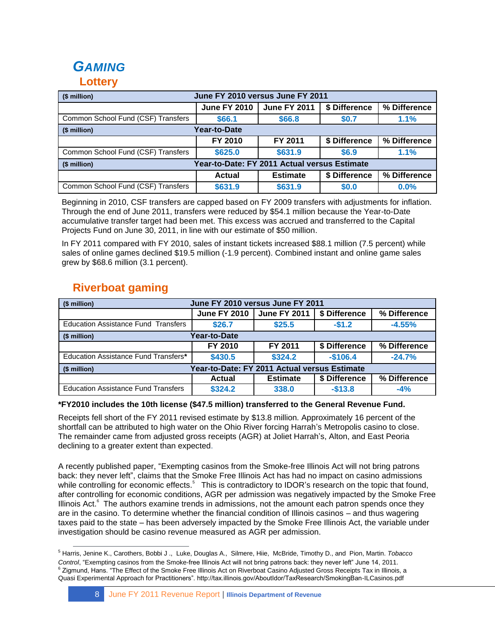# *GAMING*

### **Lottery**

| June FY 2010 versus June FY 2011<br>(\$ million)             |                     |                     |               |              |  |
|--------------------------------------------------------------|---------------------|---------------------|---------------|--------------|--|
|                                                              | <b>June FY 2010</b> | <b>June FY 2011</b> | \$ Difference | % Difference |  |
| Common School Fund (CSF) Transfers                           | \$66.1              | \$66.8              | \$0.7         | 1.1%         |  |
| <b>Year-to-Date</b><br>(\$ million)                          |                     |                     |               |              |  |
|                                                              | FY 2010             | FY 2011             | \$ Difference | % Difference |  |
| Common School Fund (CSF) Transfers                           | \$625.0             | \$631.9             | \$6.9         | 1.1%         |  |
| Year-to-Date: FY 2011 Actual versus Estimate<br>(\$ million) |                     |                     |               |              |  |
|                                                              | Actual              | <b>Estimate</b>     | \$ Difference | % Difference |  |
| Common School Fund (CSF) Transfers                           | \$631.9             | \$631.9             | \$0.0         | 0.0%         |  |

Beginning in 2010, CSF transfers are capped based on FY 2009 transfers with adjustments for inflation. Through the end of June 2011, transfers were reduced by \$54.1 million because the Year-to-Date accumulative transfer target had been met. This excess was accrued and transferred to the Capital Projects Fund on June 30, 2011, in line with our estimate of \$50 million.

In FY 2011 compared with FY 2010, sales of instant tickets increased \$88.1 million (7.5 percent) while sales of online games declined \$19.5 million (-1.9 percent). Combined instant and online game sales grew by \$68.6 million (3.1 percent).

| June FY 2010 versus June FY 2011<br>(\$ million)             |                     |                     |               |              |  |  |  |  |  |
|--------------------------------------------------------------|---------------------|---------------------|---------------|--------------|--|--|--|--|--|
|                                                              | <b>June FY 2010</b> | <b>June FY 2011</b> | \$ Difference | % Difference |  |  |  |  |  |
| <b>Education Assistance Fund Transfers</b>                   | \$26.7              | \$25.5              | $-$1.2$       | $-4.55%$     |  |  |  |  |  |
| Year-to-Date<br>(\$ million)                                 |                     |                     |               |              |  |  |  |  |  |
|                                                              | FY 2010             | FY 2011             | \$ Difference | % Difference |  |  |  |  |  |
| Education Assistance Fund Transfers*                         | \$430.5             | \$324.2             | $-$106.4$     | $-24.7%$     |  |  |  |  |  |
| Year-to-Date: FY 2011 Actual versus Estimate<br>(\$ million) |                     |                     |               |              |  |  |  |  |  |
|                                                              | <b>Actual</b>       | <b>Estimate</b>     | \$ Difference | % Difference |  |  |  |  |  |
| <b>Education Assistance Fund Transfers</b>                   | \$324.2             | 338.0               | $-$13.8$      | $-4%$        |  |  |  |  |  |

## **Riverboat gaming**

#### **\*FY2010 includes the 10th license (\$47.5 million) transferred to the General Revenue Fund.**

Receipts fell short of the FY 2011 revised estimate by \$13.8 million. Approximately 16 percent of the shortfall can be attributed to high water on the Ohio River forcing Harrah's Metropolis casino to close. The remainder came from adjusted gross receipts (AGR) at Joliet Harrah's, Alton, and East Peoria declining to a greater extent than expected.

A recently published paper, "Exempting casinos from the Smoke-free Illinois Act will not bring patrons back: they never left", claims that the Smoke Free Illinois Act has had no impact on casino admissions while controlling for economic effects.<sup>5</sup> This is contradictory to IDOR's research on the topic that found, after controlling for economic conditions, AGR per admission was negatively impacted by the Smoke Free Illinois Act.<sup>6</sup> The authors examine trends in admissions, not the amount each patron spends once they are in the casino. To determine whether the financial condition of Illinois casinos – and thus wagering taxes paid to the state – has been adversely impacted by the Smoke Free Illinois Act, the variable under investigation should be casino revenue measured as AGR per admission.

 $\overline{a}$ <sup>5</sup> [Harris,](http://tobaccocontrol.bmj.com/search?author1=Jenine+K+Harris&sortspec=date&submit=Submit) Jenine K.[, Carothers,](http://tobaccocontrol.bmj.com/search?author1=Bobbi+J+Carothers&sortspec=date&submit=Submit) Bobbi J .[, Luke,](http://tobaccocontrol.bmj.com/search?author1=Douglas+A+Luke&sortspec=date&submit=Submit) Douglas A., [Silmere,](http://tobaccocontrol.bmj.com/search?author1=Hiie+Silmere&sortspec=date&submit=Submit) Hiie[, McBride,](http://tobaccocontrol.bmj.com/search?author1=Timothy+D+McBride&sortspec=date&submit=Submit) Timothy D., and [Pion,](http://tobaccocontrol.bmj.com/search?author1=Martin+Pion&sortspec=date&submit=Submit) Martin. *Tobacco Control*, "Exempting casinos from the Smoke-free Illinois Act will not bring patrons back: they never left" June 14, 2011.  $^6$  Zigmund, Hans. "The Effect of the Smoke Free Illinois Act on Riverboat Casino Adjusted Gross Receipts Tax in Illinois, a Quasi Experimental Approach for Practitioners". http://tax.illinois.gov/AboutIdor/TaxResearch/SmokingBan-ILCasinos.pdf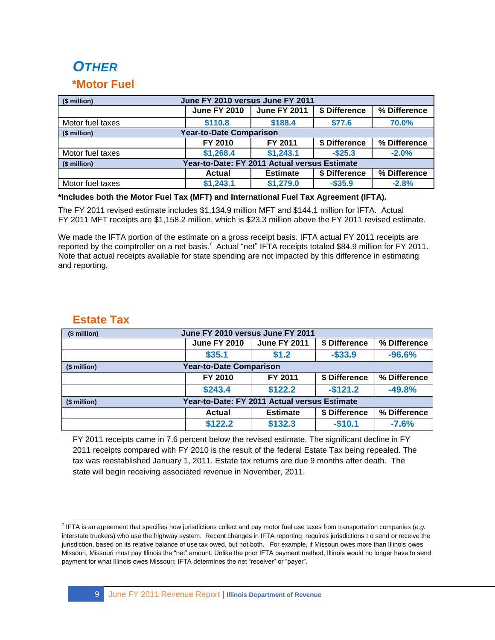# *OTHER*

### **\*Motor Fuel**

| June FY 2010 versus June FY 2011<br>(\$ million)             |                     |                     |               |              |  |  |  |  |  |
|--------------------------------------------------------------|---------------------|---------------------|---------------|--------------|--|--|--|--|--|
|                                                              | <b>June FY 2010</b> | <b>June FY 2011</b> | \$ Difference | % Difference |  |  |  |  |  |
| Motor fuel taxes                                             | \$110.8             | \$188.4             | \$77.6        | 70.0%        |  |  |  |  |  |
| <b>Year-to-Date Comparison</b><br>(\$ million)               |                     |                     |               |              |  |  |  |  |  |
|                                                              | FY 2010             | FY 2011             | \$ Difference | % Difference |  |  |  |  |  |
| Motor fuel taxes                                             | \$1,268.4           | \$1,243.1           | $-$ \$25.3    | $-2.0%$      |  |  |  |  |  |
| Year-to-Date: FY 2011 Actual versus Estimate<br>(\$ million) |                     |                     |               |              |  |  |  |  |  |
|                                                              | <b>Actual</b>       | <b>Estimate</b>     | \$ Difference | % Difference |  |  |  |  |  |
| Motor fuel taxes                                             | \$1,243.1           | \$1,279.0           | $-$35.9$      | $-2.8%$      |  |  |  |  |  |

#### **\*Includes both the Motor Fuel Tax (MFT) and International Fuel Tax Agreement (IFTA).**

The FY 2011 revised estimate includes \$1,134.9 million MFT and \$144.1 million for IFTA. Actual FY 2011 MFT receipts are \$1,158.2 million, which is \$23.3 million above the FY 2011 revised estimate.

We made the IFTA portion of the estimate on a gross receipt basis. IFTA actual FY 2011 receipts are reported by the comptroller on a net basis.<sup>7</sup> Actual "net" IFTA receipts totaled \$84.9 million for FY 2011. Note that actual receipts available for state spending are not impacted by this difference in estimating and reporting.

### **Estate Tax**

| June FY 2010 versus June FY 2011<br>(\$ million)             |                                |                     |               |              |  |  |  |  |  |  |
|--------------------------------------------------------------|--------------------------------|---------------------|---------------|--------------|--|--|--|--|--|--|
|                                                              | <b>June FY 2010</b>            | <b>June FY 2011</b> | \$ Difference | % Difference |  |  |  |  |  |  |
|                                                              | \$35.1                         | \$1.2               | $-$33.9$      | $-96.6%$     |  |  |  |  |  |  |
| (\$ million)                                                 | <b>Year-to-Date Comparison</b> |                     |               |              |  |  |  |  |  |  |
|                                                              | FY 2010                        | FY 2011             | \$ Difference | % Difference |  |  |  |  |  |  |
|                                                              | \$243.4                        | \$122.2             | $-$121.2$     | $-49.8%$     |  |  |  |  |  |  |
| Year-to-Date: FY 2011 Actual versus Estimate<br>(\$ million) |                                |                     |               |              |  |  |  |  |  |  |
|                                                              | <b>Actual</b>                  | <b>Estimate</b>     | \$ Difference | % Difference |  |  |  |  |  |  |
|                                                              | \$122.2                        | \$132.3             | $-$10.1$      | $-7.6%$      |  |  |  |  |  |  |

FY 2011 receipts came in 7.6 percent below the revised estimate. The significant decline in FY 2011 receipts compared with FY 2010 is the result of the federal Estate Tax being repealed. The tax was reestablished January 1, 2011. Estate tax returns are due 9 months after death. The state will begin receiving associated revenue in November, 2011.

 $\overline{a}$ 7 IFTA is an agreement that specifies how jurisdictions collect and pay motor fuel use taxes from transportation companies (*e.g.* interstate truckers) who use the highway system. Recent changes in IFTA reporting requires jurisdictions t o send or receive the jurisdiction, based on its relative balance of use tax owed, but not both. For example, if Missouri owes more than Illinois owes Missouri, Missouri must pay Illinois the "net" amount. Unlike the prior IFTA payment method, Illinois would no longer have to send payment for what Illinois owes Missouri; IFTA determines the net "receiver" or "payer".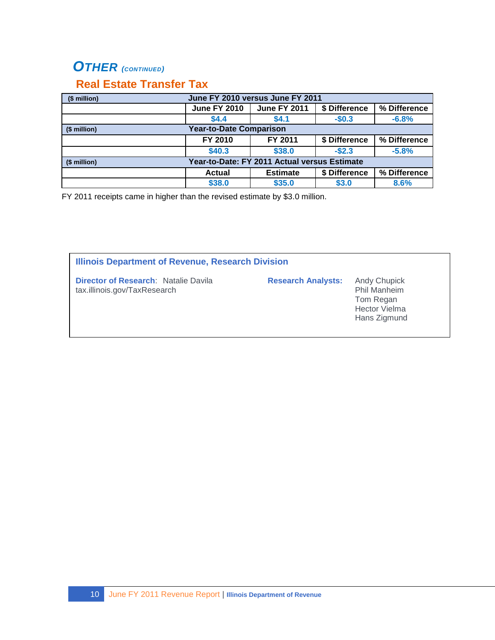## *OTHER (CONTINUED)*

## **Real Estate Transfer Tax**

| (\$ million) | June FY 2010 versus June FY 2011             |                 |               |              |  |  |  |  |  |
|--------------|----------------------------------------------|-----------------|---------------|--------------|--|--|--|--|--|
|              | <b>June FY 2010</b>                          | % Difference    |               |              |  |  |  |  |  |
|              | \$4.4                                        | \$4.1           | $-$0.3$       | $-6.8%$      |  |  |  |  |  |
| (\$ million) | <b>Year-to-Date Comparison</b>               |                 |               |              |  |  |  |  |  |
|              | FY 2010                                      | FY 2011         | \$ Difference | % Difference |  |  |  |  |  |
|              | \$40.3                                       | \$38.0          | $-$2.3$       | $-5.8%$      |  |  |  |  |  |
| (\$ million) | Year-to-Date: FY 2011 Actual versus Estimate |                 |               |              |  |  |  |  |  |
|              | <b>Actual</b>                                | <b>Estimate</b> | \$ Difference | % Difference |  |  |  |  |  |
|              | \$38.0                                       | \$35.0          | \$3.0         | 8.6%         |  |  |  |  |  |

FY 2011 receipts came in higher than the revised estimate by \$3.0 million.

| <b>Illinois Department of Revenue, Research Division</b>                    |                           |                                                                                                 |  |  |  |  |  |
|-----------------------------------------------------------------------------|---------------------------|-------------------------------------------------------------------------------------------------|--|--|--|--|--|
| <b>Director of Research: Natalie Davila</b><br>tax.illinois.gov/TaxResearch | <b>Research Analysts:</b> | <b>Andy Chupick</b><br><b>Phil Manheim</b><br>Tom Regan<br><b>Hector Vielma</b><br>Hans Zigmund |  |  |  |  |  |